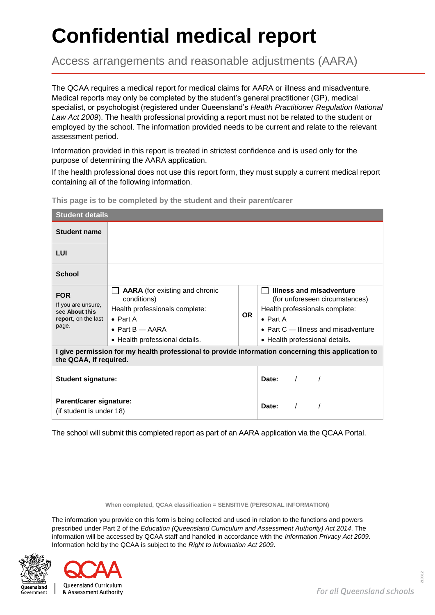# **Confidential medical report**

Access arrangements and reasonable adjustments (AARA)

The QCAA requires a medical report for medical claims for AARA or illness and misadventure. Medical reports may only be completed by the student's general practitioner (GP), medical specialist, or psychologist (registered under Queensland's *Health Practitioner Regulation National Law Act 2009*). The health professional providing a report must not be related to the student or employed by the school. The information provided needs to be current and relate to the relevant assessment period.

Information provided in this report is treated in strictest confidence and is used only for the purpose of determining the AARA application.

If the health professional does not use this report form, they must supply a current medical report containing all of the following information.

| <b>Student details</b>                                                                                                       |                                                                                                                                                                           |                     |                                                                                                                                                                                             |  |  |  |  |
|------------------------------------------------------------------------------------------------------------------------------|---------------------------------------------------------------------------------------------------------------------------------------------------------------------------|---------------------|---------------------------------------------------------------------------------------------------------------------------------------------------------------------------------------------|--|--|--|--|
| <b>Student name</b>                                                                                                          |                                                                                                                                                                           |                     |                                                                                                                                                                                             |  |  |  |  |
| LUI                                                                                                                          |                                                                                                                                                                           |                     |                                                                                                                                                                                             |  |  |  |  |
| <b>School</b>                                                                                                                |                                                                                                                                                                           |                     |                                                                                                                                                                                             |  |  |  |  |
| <b>FOR</b><br>If you are unsure,<br>see About this<br>report, on the last<br>page.                                           | <b>AARA</b> (for existing and chronic<br>conditions)<br>Health professionals complete:<br>$\bullet$ Part A<br>$\bullet$ Part B $-$ AARA<br>• Health professional details. | OR.                 | Illness and misadventure<br>(for unforeseen circumstances)<br>Health professionals complete:<br>$\bullet$ Part A<br>• Part $C$ – Illness and misadventure<br>• Health professional details. |  |  |  |  |
| I give permission for my health professional to provide information concerning this application to<br>the QCAA, if required. |                                                                                                                                                                           |                     |                                                                                                                                                                                             |  |  |  |  |
| <b>Student signature:</b>                                                                                                    |                                                                                                                                                                           | Date:<br>$\sqrt{2}$ |                                                                                                                                                                                             |  |  |  |  |
| Parent/carer signature:<br>(if student is under 18)                                                                          |                                                                                                                                                                           | Date:<br>$\prime$   |                                                                                                                                                                                             |  |  |  |  |

**This page is to be completed by the student and their parent/carer** 

The school will submit this completed report as part of an AARA application via the QCAA Portal.

**When completed, QCAA classification = SENSITIVE (PERSONAL INFORMATION)**

The information you provide on this form is being collected and used in relation to the functions and powers prescribed under Part 2 of the *Education (Queensland Curriculum and Assessment Authority) Act 2014*. The information will be accessed by QCAA staff and handled in accordance with the *Information Privacy Act 2009*. Information held by the QCAA is subject to the *Right to Information Act 2009*.



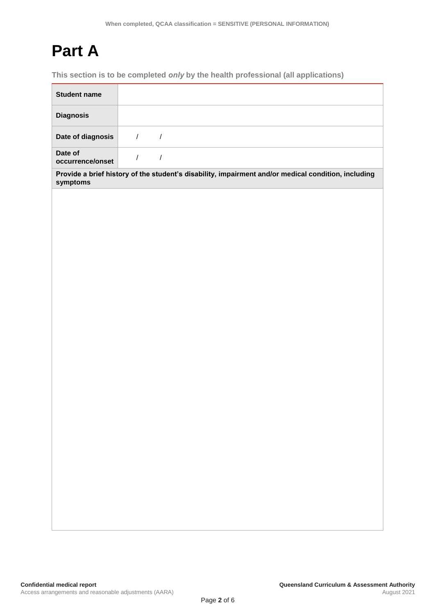### **Part A**

**This section is to be completed** *only* **by the health professional (all applications)**

| <b>Student name</b>         |                                                                                                     |
|-----------------------------|-----------------------------------------------------------------------------------------------------|
| <b>Diagnosis</b>            |                                                                                                     |
| Date of diagnosis           | $\overline{1}$<br>$\sqrt{ }$                                                                        |
| Date of<br>occurrence/onset | $\sqrt{ }$<br>$\sqrt{\phantom{a}}$                                                                  |
| symptoms                    | Provide a brief history of the student's disability, impairment and/or medical condition, including |
|                             |                                                                                                     |
|                             |                                                                                                     |
|                             |                                                                                                     |
|                             |                                                                                                     |
|                             |                                                                                                     |
|                             |                                                                                                     |
|                             |                                                                                                     |
|                             |                                                                                                     |
|                             |                                                                                                     |
|                             |                                                                                                     |
|                             |                                                                                                     |
|                             |                                                                                                     |
|                             |                                                                                                     |
|                             |                                                                                                     |
|                             |                                                                                                     |
|                             |                                                                                                     |
|                             |                                                                                                     |
|                             |                                                                                                     |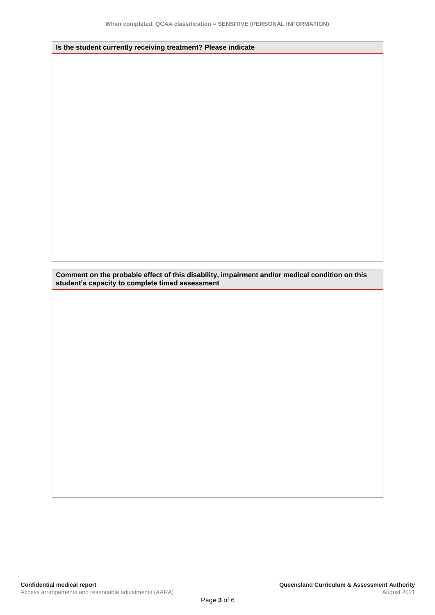**Is the student currently receiving treatment? Please indicate**

**Comment on the probable effect of this disability, impairment and/or medical condition on this student's capacity to complete timed assessment**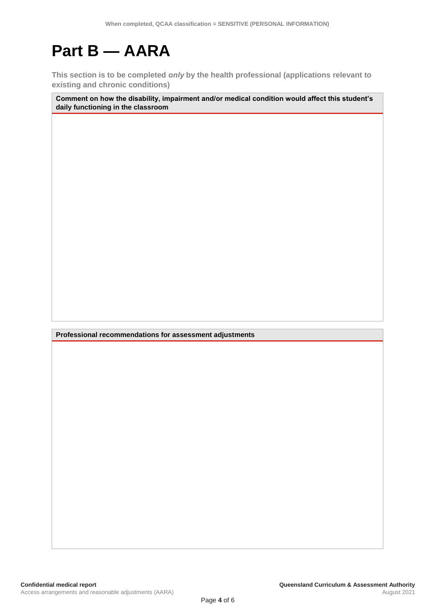## **Part B — AARA**

**This section is to be completed** *only* **by the health professional (applications relevant to existing and chronic conditions)**

**Comment on how the disability, impairment and/or medical condition would affect this student's daily functioning in the classroom**

**Professional recommendations for assessment adjustments**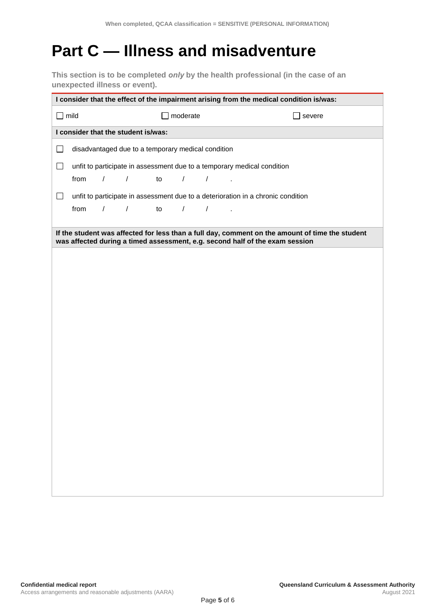### **Part C — Illness and misadventure**

**This section is to be completed** *only* **by the health professional (in the case of an unexpected illness or event).**

| I consider that the effect of the impairment arising from the medical condition is/was: |                                                                         |            |                                                                                  |               |            |            |  |  |        |  |  |
|-----------------------------------------------------------------------------------------|-------------------------------------------------------------------------|------------|----------------------------------------------------------------------------------|---------------|------------|------------|--|--|--------|--|--|
| mild<br>$\blacksquare$                                                                  |                                                                         |            |                                                                                  | moderate      |            |            |  |  | severe |  |  |
|                                                                                         | I consider that the student is/was:                                     |            |                                                                                  |               |            |            |  |  |        |  |  |
| $\Box$                                                                                  | disadvantaged due to a temporary medical condition                      |            |                                                                                  |               |            |            |  |  |        |  |  |
| $\Box$                                                                                  | unfit to participate in assessment due to a temporary medical condition |            |                                                                                  |               |            |            |  |  |        |  |  |
|                                                                                         | from                                                                    | $\sqrt{2}$ | $\sqrt{2}$                                                                       | to            | $\sqrt{2}$ | $\sqrt{2}$ |  |  |        |  |  |
| ⊔                                                                                       |                                                                         |            | unfit to participate in assessment due to a deterioration in a chronic condition |               |            |            |  |  |        |  |  |
|                                                                                         | from                                                                    | $\sqrt{2}$ | $\sqrt{2}$                                                                       | $\mathsf{to}$ | $\sqrt{2}$ | $\sqrt{2}$ |  |  |        |  |  |
|                                                                                         |                                                                         |            | was affected during a timed assessment, e.g. second half of the exam session     |               |            |            |  |  |        |  |  |
|                                                                                         |                                                                         |            |                                                                                  |               |            |            |  |  |        |  |  |